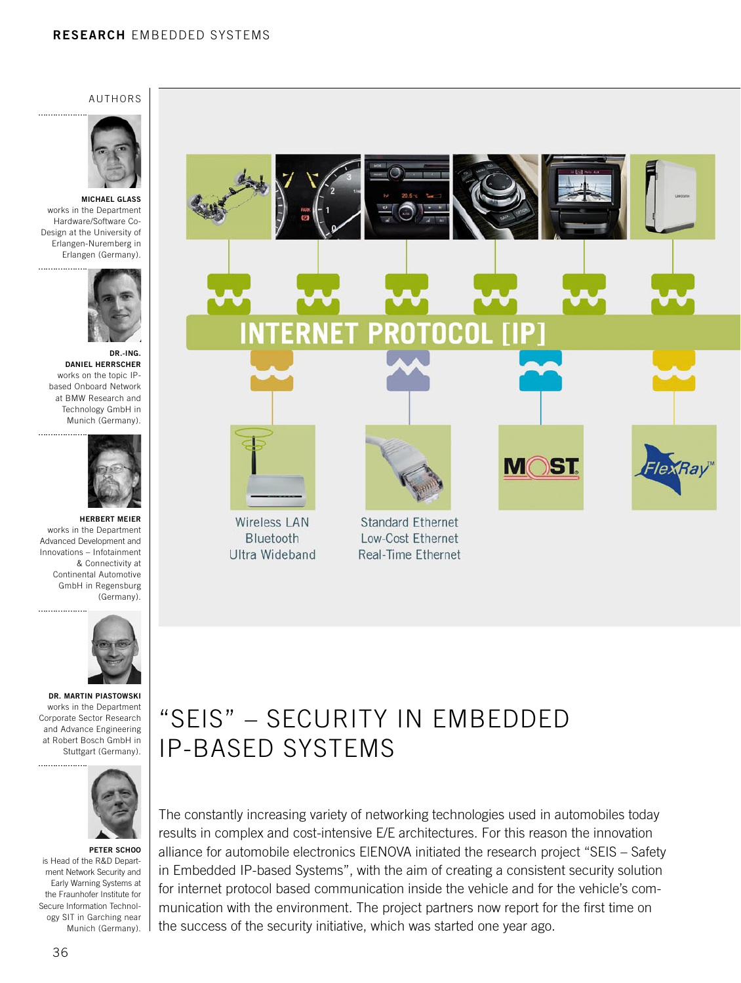#### Authors



Michael Glass works in the Department Hardware/Software Co-Design at the University of Erlangen-Nuremberg in Erlangen (Germany).



Dr.-Ing. Daniel Herrscher works on the topic IPbased Onboard Network at BMW Research and Technology GmbH in Munich (Germany).



Herbert Meier works in the Department Advanced Development and Innovations – Infotainment & Connectivity at Continental Automotive GmbH in Regensburg (Germany).



Dr. Martin Piastowski works in the Department Corporate Sector Research and Advance Engineering at Robert Bosch GmbH in Stuttgart (Germany).



Peter Schoo is Head of the R&D Department Network Security and Early Warning Systems at the Fraunhofer Institute for Secure Information Technology SIT in Garching near Munich (Germany).



# "SEIS" – SECURITY IN EMBEDDED IP-BASED SYSTEMS

The constantly increasing variety of networking technologies used in automobiles today results in complex and cost-intensive E/E architectures. For this reason the innovation alliance for automobile electronics EIENOVA initiated the research project "SEIS – Safety in Embedded IP-based Systems", with the aim of creating a consistent security solution for internet protocol based communication inside the vehicle and for the vehicle's communication with the environment. The project partners now report for the first time on the success of the security initiative, which was started one year ago.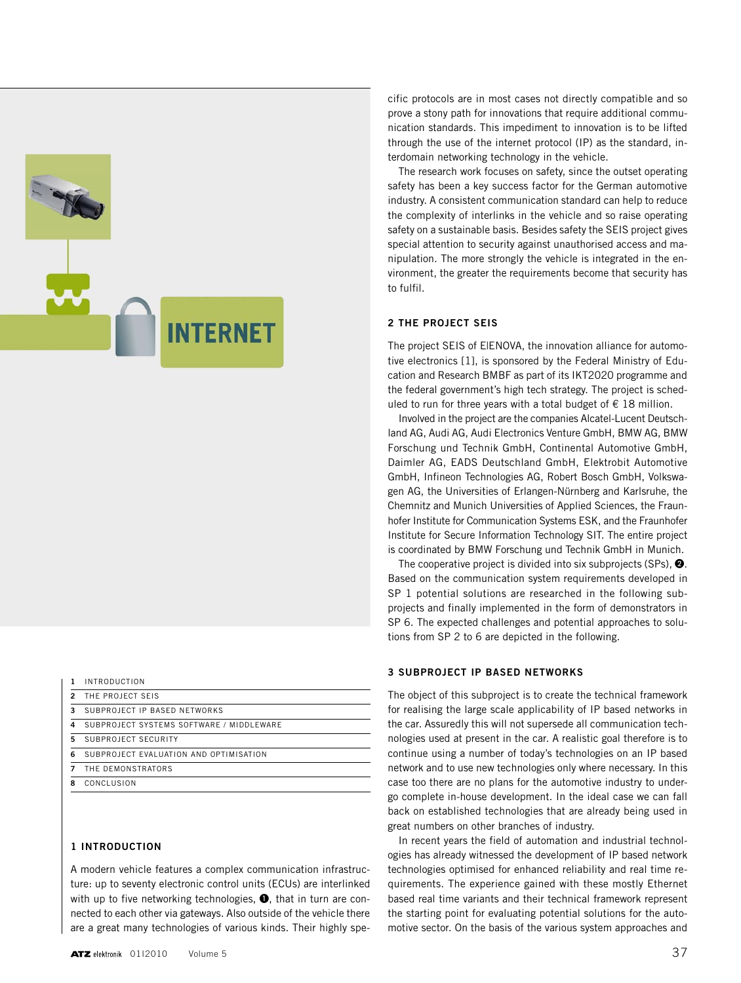

|  | <b>INTRODUCTION</b> |
|--|---------------------|
|--|---------------------|

- 2 THE PROJECT SEIS
- 3 Subproject IP based networks
- 4 Subproject Systems Software / Middleware
- 5 SUBPROJECT SECURITY
- 6 Subproject Evaluation and Optimisation
- **7** THE DEMONSTRATORS
- 8 CONCLUSION

#### 1 INTroduction

A modern vehicle features a complex communication infrastructure: up to seventy electronic control units (ECUs) are interlinked with up to five networking technologies, ❶, that in turn are connected to each other via gateways. Also outside of the vehicle there are a great many technologies of various kinds. Their highly specific protocols are in most cases not directly compatible and so prove a stony path for innovations that require additional communication standards. This impediment to innovation is to be lifted through the use of the internet protocol (IP) as the standard, interdomain networking technology in the vehicle.

The research work focuses on safety, since the outset operating safety has been a key success factor for the German automotive industry. A consistent communication standard can help to reduce the complexity of interlinks in the vehicle and so raise operating safety on a sustainable basis. Besides safety the SEIS project gives special attention to security against unauthorised access and manipulation. The more strongly the vehicle is integrated in the environment, the greater the requirements become that security has to fulfil.

#### 2 THE PROJECT SEIS

The project SEIS of EIENOVA, the innovation alliance for automotive electronics [1], is sponsored by the Federal Ministry of Education and Research BMBF as part of its IKT2020 programme and the federal government's high tech strategy. The project is scheduled to run for three years with a total budget of  $\epsilon$  18 million.

Involved in the project are the companies Alcatel-Lucent Deutschland AG, Audi AG, Audi Electronics Venture GmbH, BMW AG, BMW Forschung und Technik GmbH, Continental Automotive GmbH, Daimler AG, EADS Deutschland GmbH, Elektrobit Automotive GmbH, Infineon Technologies AG, Robert Bosch GmbH, Volkswagen AG, the Universities of Erlangen-Nürnberg and Karlsruhe, the Chemnitz and Munich Universities of Applied Sciences, the Fraunhofer Institute for Communication Systems ESK, and the Fraunhofer Institute for Secure Information Technology SIT. The entire project is coordinated by BMW Forschung und Technik GmbH in Munich.

The cooperative project is divided into six subprojects (SPs), ❷. Based on the communication system requirements developed in SP 1 potential solutions are researched in the following subprojects and finally implemented in the form of demonstrators in SP 6. The expected challenges and potential approaches to solutions from SP 2 to 6 are depicted in the following.

#### 3 SUBPROJECT IP BASED NETWORKS

The object of this subproject is to create the technical framework for realising the large scale applicability of IP based networks in the car. Assuredly this will not supersede all communication technologies used at present in the car. A realistic goal therefore is to continue using a number of today's technologies on an IP based network and to use new technologies only where necessary. In this case too there are no plans for the automotive industry to undergo complete in-house development. In the ideal case we can fall back on established technologies that are already being used in great numbers on other branches of industry.

In recent years the field of automation and industrial technologies has already witnessed the development of IP based network technologies optimised for enhanced reliability and real time requirements. The experience gained with these mostly Ethernet based real time variants and their technical framework represent the starting point for evaluating potential solutions for the automotive sector. On the basis of the various system approaches and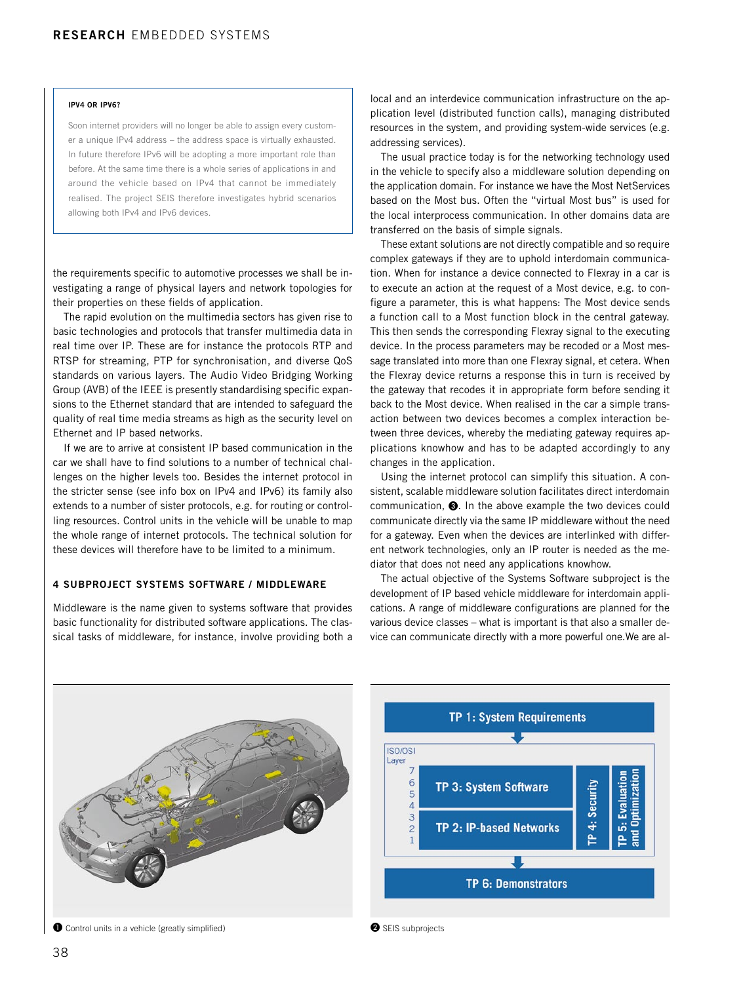#### IPv4 or IPv6?

Soon internet providers will no longer be able to assign every customer a unique IPv4 address – the address space is virtually exhausted. In future therefore IPv6 will be adopting a more important role than before. At the same time there is a whole series of applications in and around the vehicle based on IPv4 that cannot be immediately realised. The project SEIS therefore investigates hybrid scenarios allowing both IPv4 and IPv6 devices.

the requirements specific to automotive processes we shall be investigating a range of physical layers and network topologies for their properties on these fields of application.

The rapid evolution on the multimedia sectors has given rise to basic technologies and protocols that transfer multimedia data in real time over IP. These are for instance the protocols RTP and RTSP for streaming, PTP for synchronisation, and diverse QoS standards on various layers. The Audio Video Bridging Working Group (AVB) of the IEEE is presently standardising specific expansions to the Ethernet standard that are intended to safeguard the quality of real time media streams as high as the security level on Ethernet and IP based networks.

If we are to arrive at consistent IP based communication in the car we shall have to find solutions to a number of technical challenges on the higher levels too. Besides the internet protocol in the stricter sense (see info box on IPv4 and IPv6) its family also extends to a number of sister protocols, e.g. for routing or controlling resources. Control units in the vehicle will be unable to map the whole range of internet protocols. The technical solution for these devices will therefore have to be limited to a minimum.

#### 4 SUBPROJECT SYSTEMS SOFTWARE / MIDDLEWARE

Middleware is the name given to systems software that provides basic functionality for distributed software applications. The classical tasks of middleware, for instance, involve providing both a

local and an interdevice communication infrastructure on the application level (distributed function calls), managing distributed resources in the system, and providing system-wide services (e.g. addressing services).

The usual practice today is for the networking technology used in the vehicle to specify also a middleware solution depending on the application domain. For instance we have the Most NetServices based on the Most bus. Often the "virtual Most bus" is used for the local interprocess communication. In other domains data are transferred on the basis of simple signals.

These extant solutions are not directly compatible and so require complex gateways if they are to uphold interdomain communication. When for instance a device connected to Flexray in a car is to execute an action at the request of a Most device, e.g. to configure a parameter, this is what happens: The Most device sends a function call to a Most function block in the central gateway. This then sends the corresponding Flexray signal to the executing device. In the process parameters may be recoded or a Most message translated into more than one Flexray signal, et cetera. When the Flexray device returns a response this in turn is received by the gateway that recodes it in appropriate form before sending it back to the Most device. When realised in the car a simple transaction between two devices becomes a complex interaction between three devices, whereby the mediating gateway requires applications knowhow and has to be adapted accordingly to any changes in the application.

Using the internet protocol can simplify this situation. A consistent, scalable middleware solution facilitates direct interdomain communication, ❸. In the above example the two devices could communicate directly via the same IP middleware without the need for a gateway. Even when the devices are interlinked with different network technologies, only an IP router is needed as the mediator that does not need any applications knowhow.

The actual objective of the Systems Software subproject is the development of IP based vehicle middleware for interdomain applications. A range of middleware configurations are planned for the various device classes – what is important is that also a smaller device can communicate directly with a more powerful one.We are al-



❶ Control units in a vehicle (greatly simplified) ❷ SEIS subprojects

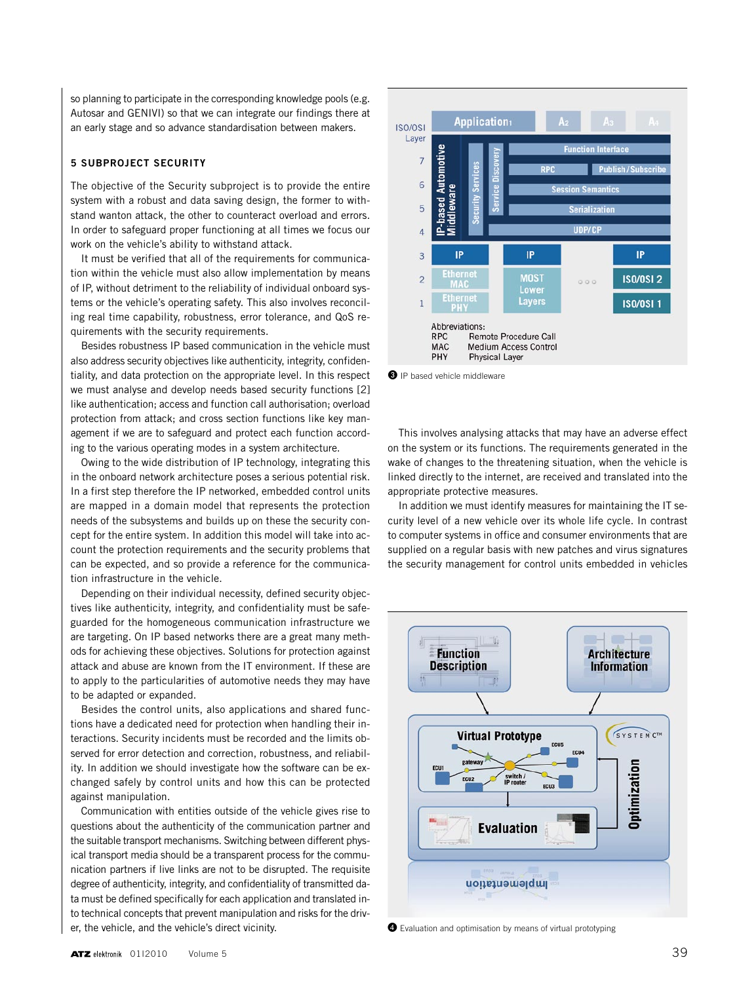so planning to participate in the corresponding knowledge pools (e.g. Autosar and GENIVI) so that we can integrate our findings there at an early stage and so advance standardisation between makers.

#### 5 SUBPROJECT SECURITY

The objective of the Security subproject is to provide the entire system with a robust and data saving design, the former to withstand wanton attack, the other to counteract overload and errors. In order to safeguard proper functioning at all times we focus our work on the vehicle's ability to withstand attack.

It must be verified that all of the requirements for communication within the vehicle must also allow implementation by means of IP, without detriment to the reliability of individual onboard systems or the vehicle's operating safety. This also involves reconciling real time capability, robustness, error tolerance, and QoS requirements with the security requirements.

Besides robustness IP based communication in the vehicle must also address security objectives like authenticity, integrity, confidentiality, and data protection on the appropriate level. In this respect we must analyse and develop needs based security functions [2] like authentication; access and function call authorisation; overload protection from attack; and cross section functions like key management if we are to safeguard and protect each function according to the various operating modes in a system architecture.

Owing to the wide distribution of IP technology, integrating this in the onboard network architecture poses a serious potential risk. In a first step therefore the IP networked, embedded control units are mapped in a domain model that represents the protection needs of the subsystems and builds up on these the security concept for the entire system. In addition this model will take into account the protection requirements and the security problems that can be expected, and so provide a reference for the communication infrastructure in the vehicle.

Depending on their individual necessity, defined security objectives like authenticity, integrity, and confidentiality must be safeguarded for the homogeneous communication infrastructure we are targeting. On IP based networks there are a great many methods for achieving these objectives. Solutions for protection against attack and abuse are known from the IT environment. If these are to apply to the particularities of automotive needs they may have to be adapted or expanded.

Besides the control units, also applications and shared functions have a dedicated need for protection when handling their interactions. Security incidents must be recorded and the limits observed for error detection and correction, robustness, and reliability. In addition we should investigate how the software can be exchanged safely by control units and how this can be protected against manipulation.

Communication with entities outside of the vehicle gives rise to questions about the authenticity of the communication partner and the suitable transport mechanisms. Switching between different physical transport media should be a transparent process for the communication partners if live links are not to be disrupted. The requisite degree of authenticity, integrity, and confidentiality of transmitted data must be defined specifically for each application and translated into technical concepts that prevent manipulation and risks for the driver, the vehicle, and the vehicle's direct vicinity.



❸ IP based vehicle middleware

This involves analysing attacks that may have an adverse effect on the system or its functions. The requirements generated in the wake of changes to the threatening situation, when the vehicle is linked directly to the internet, are received and translated into the appropriate protective measures.

In addition we must identify measures for maintaining the IT security level of a new vehicle over its whole life cycle. In contrast to computer systems in office and consumer environments that are supplied on a regular basis with new patches and virus signatures the security management for control units embedded in vehicles



❹ Evaluation and optimisation by means of virtual prototyping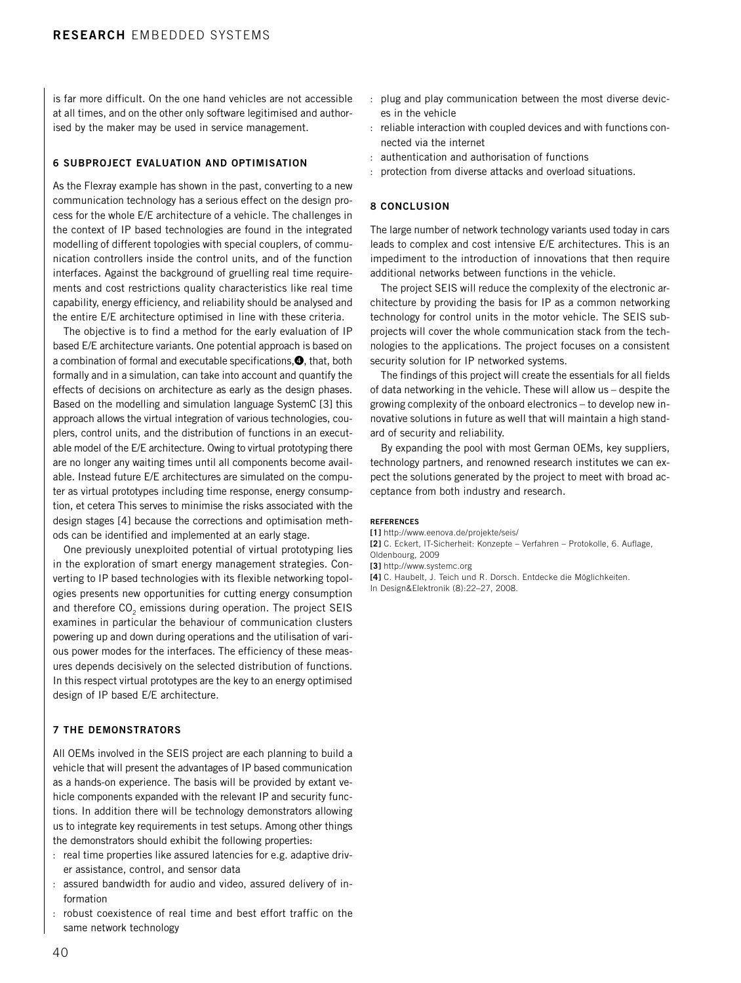is far more difficult. On the one hand vehicles are not accessible at all times, and on the other only software legitimised and authorised by the maker may be used in service management.

#### 6 SUBPROJECT EVALUATION AND OPTIMISATION

As the Flexray example has shown in the past, converting to a new communication technology has a serious effect on the design process for the whole E/E architecture of a vehicle. The challenges in the context of IP based technologies are found in the integrated modelling of different topologies with special couplers, of communication controllers inside the control units, and of the function interfaces. Against the background of gruelling real time requirements and cost restrictions quality characteristics like real time capability, energy efficiency, and reliability should be analysed and the entire E/E architecture optimised in line with these criteria.

The objective is to find a method for the early evaluation of IP based E/E architecture variants. One potential approach is based on a combination of formal and executable specifications,❹, that, both formally and in a simulation, can take into account and quantify the effects of decisions on architecture as early as the design phases. Based on the modelling and simulation language SystemC [3] this approach allows the virtual integration of various technologies, couplers, control units, and the distribution of functions in an executable model of the E/E architecture. Owing to virtual prototyping there are no longer any waiting times until all components become available. Instead future E/E architectures are simulated on the computer as virtual prototypes including time response, energy consumption, et cetera This serves to minimise the risks associated with the design stages [4] because the corrections and optimisation methods can be identified and implemented at an early stage.

One previously unexploited potential of virtual prototyping lies in the exploration of smart energy management strategies. Converting to IP based technologies with its flexible networking topologies presents new opportunities for cutting energy consumption and therefore CO<sub>2</sub> emissions during operation. The project SEIS examines in particular the behaviour of communication clusters powering up and down during operations and the utilisation of various power modes for the interfaces. The efficiency of these measures depends decisively on the selected distribution of functions. In this respect virtual prototypes are the key to an energy optimised design of IP based E/E architecture.

#### 7 THE DEMONSTRATORS

All OEMs involved in the SEIS project are each planning to build a vehicle that will present the advantages of IP based communication as a hands-on experience. The basis will be provided by extant vehicle components expanded with the relevant IP and security functions. In addition there will be technology demonstrators allowing us to integrate key requirements in test setups. Among other things the demonstrators should exhibit the following properties:

- : real time properties like assured latencies for e.g. adaptive driver assistance, control, and sensor data
- : assured bandwidth for audio and video, assured delivery of information
- : robust coexistence of real time and best effort traffic on the same network technology
- plug and play communication between the most diverse devic-: es in the vehicle
- reliable interaction with coupled devices and with functions connected via the internet :
- authentication and authorisation of functions :
- protection from diverse attacks and overload situations. :

#### 8 CONCLUSION

The large number of network technology variants used today in cars leads to complex and cost intensive E/E architectures. This is an impediment to the introduction of innovations that then require additional networks between functions in the vehicle.

The project SEIS will reduce the complexity of the electronic architecture by providing the basis for IP as a common networking technology for control units in the motor vehicle. The SEIS subprojects will cover the whole communication stack from the technologies to the applications. The project focuses on a consistent security solution for IP networked systems.

The findings of this project will create the essentials for all fields of data networking in the vehicle. These will allow us – despite the growing complexity of the onboard electronics – to develop new innovative solutions in future as well that will maintain a high standard of security and reliability.

By expanding the pool with most German OEMs, key suppliers, technology partners, and renowned research institutes we can expect the solutions generated by the project to meet with broad acceptance from both industry and research.

#### **REFERENCES**

- **[1]** http://www.eenova.de/projekte/seis/
- **[2]** C. Eckert, IT-Sicherheit: Konzepte Verfahren Protokolle, 6. Auflage,
- Oldenbourg, 2009
- **[3]** http://www.systemc.org
- **[4]** C. Haubelt, J. Teich und R. Dorsch. Entdecke die Möglichkeiten.

In Design&Elektronik (8):22–27, 2008.